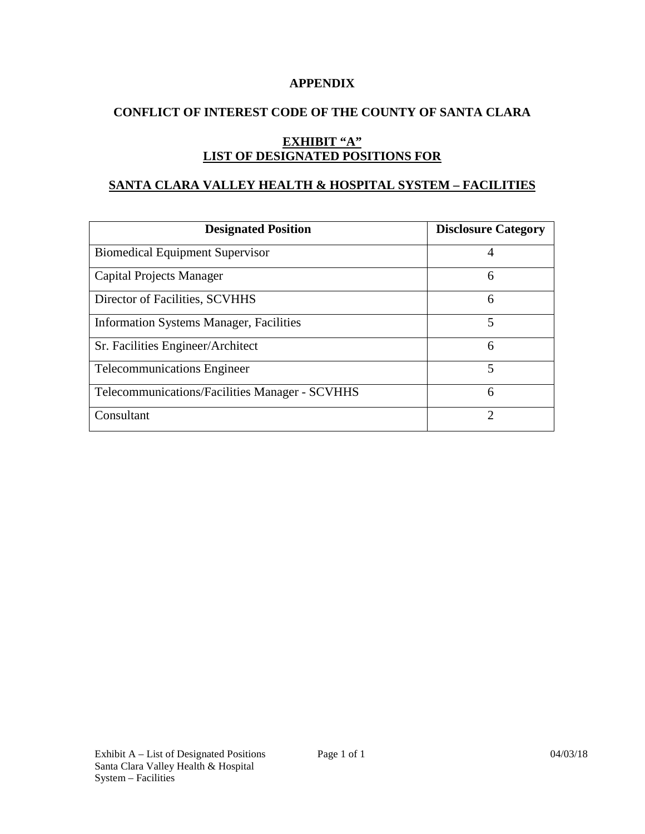#### **APPENDIX**

## **CONFLICT OF INTEREST CODE OF THE COUNTY OF SANTA CLARA**

# **EXHIBIT "A" LIST OF DESIGNATED POSITIONS FOR**

## **SANTA CLARA VALLEY HEALTH & HOSPITAL SYSTEM – FACILITIES**

| <b>Designated Position</b>                     | <b>Disclosure Category</b> |
|------------------------------------------------|----------------------------|
| <b>Biomedical Equipment Supervisor</b>         | 4                          |
| Capital Projects Manager                       | 6                          |
| Director of Facilities, SCVHHS                 | 6                          |
| <b>Information Systems Manager, Facilities</b> | 5                          |
| Sr. Facilities Engineer/Architect              | 6                          |
| <b>Telecommunications Engineer</b>             | 5                          |
| Telecommunications/Facilities Manager - SCVHHS | 6                          |
| Consultant                                     | ႒                          |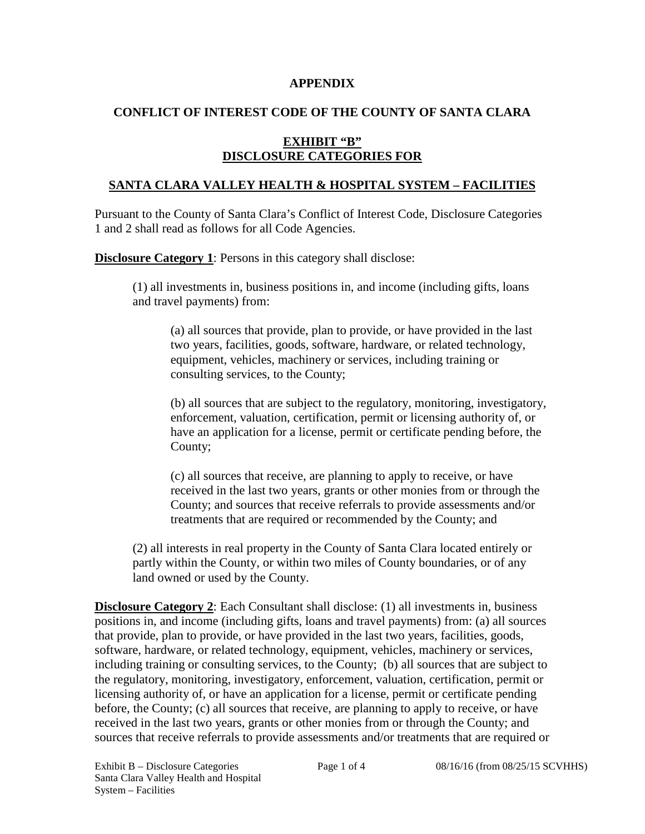#### **APPENDIX**

## **CONFLICT OF INTEREST CODE OF THE COUNTY OF SANTA CLARA**

## **EXHIBIT "B" DISCLOSURE CATEGORIES FOR**

## **SANTA CLARA VALLEY HEALTH & HOSPITAL SYSTEM – FACILITIES**

Pursuant to the County of Santa Clara's Conflict of Interest Code, Disclosure Categories 1 and 2 shall read as follows for all Code Agencies.

**Disclosure Category 1**: Persons in this category shall disclose:

(1) all investments in, business positions in, and income (including gifts, loans and travel payments) from:

(a) all sources that provide, plan to provide, or have provided in the last two years, facilities, goods, software, hardware, or related technology, equipment, vehicles, machinery or services, including training or consulting services, to the County;

(b) all sources that are subject to the regulatory, monitoring, investigatory, enforcement, valuation, certification, permit or licensing authority of, or have an application for a license, permit or certificate pending before, the County;

(c) all sources that receive, are planning to apply to receive, or have received in the last two years, grants or other monies from or through the County; and sources that receive referrals to provide assessments and/or treatments that are required or recommended by the County; and

(2) all interests in real property in the County of Santa Clara located entirely or partly within the County, or within two miles of County boundaries, or of any land owned or used by the County.

**Disclosure Category 2**: Each Consultant shall disclose: (1) all investments in, business positions in, and income (including gifts, loans and travel payments) from: (a) all sources that provide, plan to provide, or have provided in the last two years, facilities, goods, software, hardware, or related technology, equipment, vehicles, machinery or services, including training or consulting services, to the County; (b) all sources that are subject to the regulatory, monitoring, investigatory, enforcement, valuation, certification, permit or licensing authority of, or have an application for a license, permit or certificate pending before, the County; (c) all sources that receive, are planning to apply to receive, or have received in the last two years, grants or other monies from or through the County; and sources that receive referrals to provide assessments and/or treatments that are required or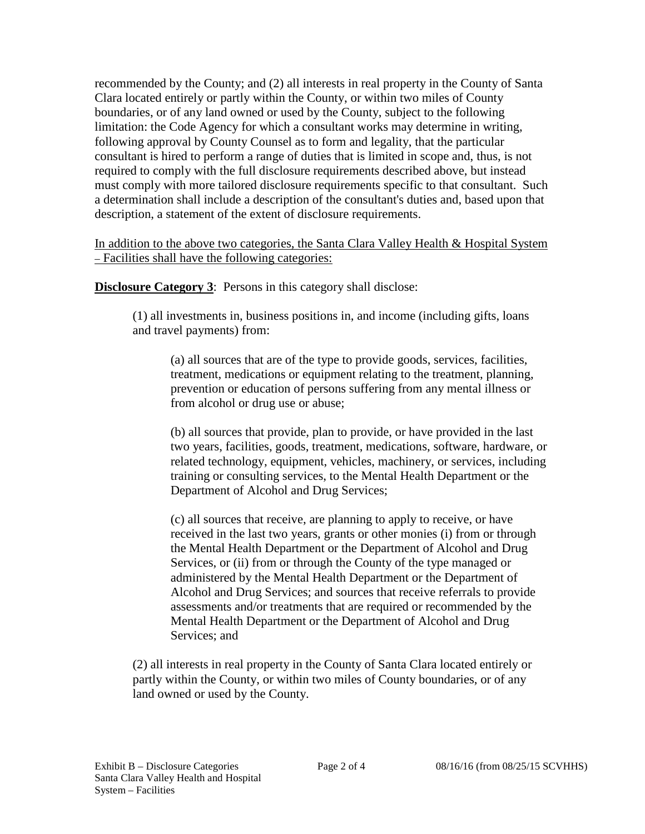recommended by the County; and (2) all interests in real property in the County of Santa Clara located entirely or partly within the County, or within two miles of County boundaries, or of any land owned or used by the County, subject to the following limitation: the Code Agency for which a consultant works may determine in writing, following approval by County Counsel as to form and legality, that the particular consultant is hired to perform a range of duties that is limited in scope and, thus, is not required to comply with the full disclosure requirements described above, but instead must comply with more tailored disclosure requirements specific to that consultant. Such a determination shall include a description of the consultant's duties and, based upon that description, a statement of the extent of disclosure requirements.

In addition to the above two categories, the Santa Clara Valley Health & Hospital System – Facilities shall have the following categories:

**Disclosure Category 3**: Persons in this category shall disclose:

(1) all investments in, business positions in, and income (including gifts, loans and travel payments) from:

(a) all sources that are of the type to provide goods, services, facilities, treatment, medications or equipment relating to the treatment, planning, prevention or education of persons suffering from any mental illness or from alcohol or drug use or abuse;

(b) all sources that provide, plan to provide, or have provided in the last two years, facilities, goods, treatment, medications, software, hardware, or related technology, equipment, vehicles, machinery, or services, including training or consulting services, to the Mental Health Department or the Department of Alcohol and Drug Services;

(c) all sources that receive, are planning to apply to receive, or have received in the last two years, grants or other monies (i) from or through the Mental Health Department or the Department of Alcohol and Drug Services, or (ii) from or through the County of the type managed or administered by the Mental Health Department or the Department of Alcohol and Drug Services; and sources that receive referrals to provide assessments and/or treatments that are required or recommended by the Mental Health Department or the Department of Alcohol and Drug Services; and

(2) all interests in real property in the County of Santa Clara located entirely or partly within the County, or within two miles of County boundaries, or of any land owned or used by the County.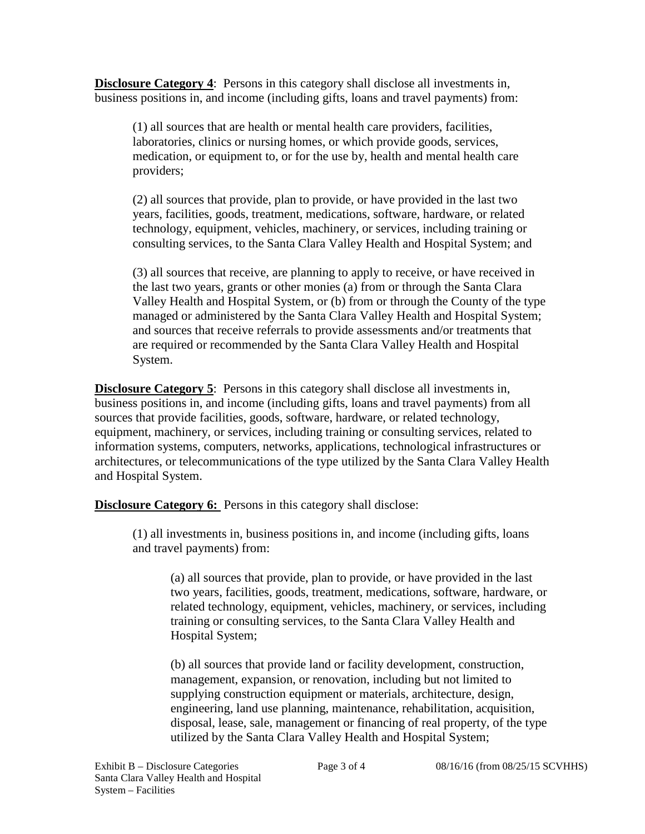**Disclosure Category 4**: Persons in this category shall disclose all investments in, business positions in, and income (including gifts, loans and travel payments) from:

(1) all sources that are health or mental health care providers, facilities, laboratories, clinics or nursing homes, or which provide goods, services, medication, or equipment to, or for the use by, health and mental health care providers;

(2) all sources that provide, plan to provide, or have provided in the last two years, facilities, goods, treatment, medications, software, hardware, or related technology, equipment, vehicles, machinery, or services, including training or consulting services, to the Santa Clara Valley Health and Hospital System; and

(3) all sources that receive, are planning to apply to receive, or have received in the last two years, grants or other monies (a) from or through the Santa Clara Valley Health and Hospital System, or (b) from or through the County of the type managed or administered by the Santa Clara Valley Health and Hospital System; and sources that receive referrals to provide assessments and/or treatments that are required or recommended by the Santa Clara Valley Health and Hospital System.

**Disclosure Category 5**: Persons in this category shall disclose all investments in, business positions in, and income (including gifts, loans and travel payments) from all sources that provide facilities, goods, software, hardware, or related technology, equipment, machinery, or services, including training or consulting services, related to information systems, computers, networks, applications, technological infrastructures or architectures, or telecommunications of the type utilized by the Santa Clara Valley Health and Hospital System.

**Disclosure Category 6:** Persons in this category shall disclose:

(1) all investments in, business positions in, and income (including gifts, loans and travel payments) from:

(a) all sources that provide, plan to provide, or have provided in the last two years, facilities, goods, treatment, medications, software, hardware, or related technology, equipment, vehicles, machinery, or services, including training or consulting services, to the Santa Clara Valley Health and Hospital System;

(b) all sources that provide land or facility development, construction, management, expansion, or renovation, including but not limited to supplying construction equipment or materials, architecture, design, engineering, land use planning, maintenance, rehabilitation, acquisition, disposal, lease, sale, management or financing of real property, of the type utilized by the Santa Clara Valley Health and Hospital System;